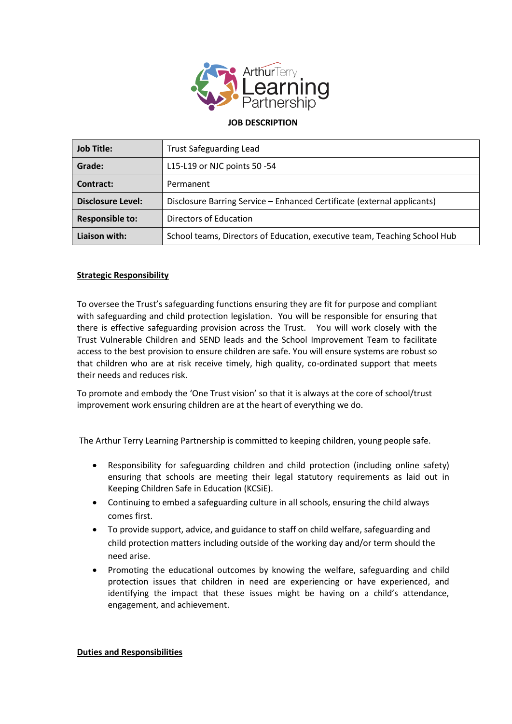

### **JOB DESCRIPTION**

| <b>Job Title:</b>        | <b>Trust Safeguarding Lead</b>                                            |
|--------------------------|---------------------------------------------------------------------------|
| Grade:                   | L15-L19 or NJC points 50 -54                                              |
| Contract:                | Permanent                                                                 |
| <b>Disclosure Level:</b> | Disclosure Barring Service - Enhanced Certificate (external applicants)   |
| <b>Responsible to:</b>   | Directors of Education                                                    |
| Liaison with:            | School teams, Directors of Education, executive team, Teaching School Hub |

## **Strategic Responsibility**

To oversee the Trust's safeguarding functions ensuring they are fit for purpose and compliant with safeguarding and child protection legislation. You will be responsible for ensuring that there is effective safeguarding provision across the Trust. You will work closely with the Trust Vulnerable Children and SEND leads and the School Improvement Team to facilitate access to the best provision to ensure children are safe. You will ensure systems are robust so that children who are at risk receive timely, high quality, co-ordinated support that meets their needs and reduces risk.

To promote and embody the 'One Trust vision' so that it is always at the core of school/trust improvement work ensuring children are at the heart of everything we do.

The Arthur Terry Learning Partnership is committed to keeping children, young people safe.

- Responsibility for safeguarding children and child protection (including online safety) ensuring that schools are meeting their legal statutory requirements as laid out in Keeping Children Safe in Education (KCSiE).
- Continuing to embed a safeguarding culture in all schools, ensuring the child always comes first.
- To provide support, advice, and guidance to staff on child welfare, safeguarding and child protection matters including outside of the working day and/or term should the need arise.
- Promoting the educational outcomes by knowing the welfare, safeguarding and child protection issues that children in need are experiencing or have experienced, and identifying the impact that these issues might be having on a child's attendance, engagement, and achievement.

### **Duties and Responsibilities**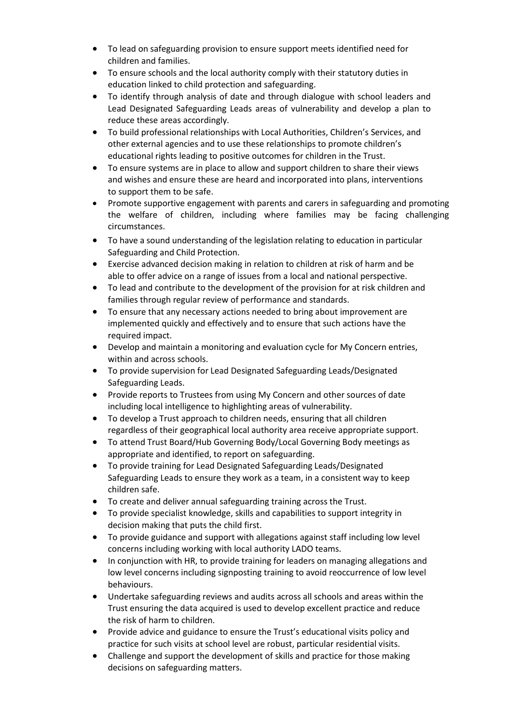- To lead on safeguarding provision to ensure support meets identified need for children and families.
- To ensure schools and the local authority comply with their statutory duties in education linked to child protection and safeguarding.
- To identify through analysis of date and through dialogue with school leaders and Lead Designated Safeguarding Leads areas of vulnerability and develop a plan to reduce these areas accordingly.
- To build professional relationships with Local Authorities, Children's Services, and other external agencies and to use these relationships to promote children's educational rights leading to positive outcomes for children in the Trust.
- To ensure systems are in place to allow and support children to share their views and wishes and ensure these are heard and incorporated into plans, interventions to support them to be safe.
- Promote supportive engagement with parents and carers in safeguarding and promoting the welfare of children, including where families may be facing challenging circumstances.
- To have a sound understanding of the legislation relating to education in particular Safeguarding and Child Protection.
- Exercise advanced decision making in relation to children at risk of harm and be able to offer advice on a range of issues from a local and national perspective.
- To lead and contribute to the development of the provision for at risk children and families through regular review of performance and standards.
- To ensure that any necessary actions needed to bring about improvement are implemented quickly and effectively and to ensure that such actions have the required impact.
- Develop and maintain a monitoring and evaluation cycle for My Concern entries, within and across schools.
- To provide supervision for Lead Designated Safeguarding Leads/Designated Safeguarding Leads.
- Provide reports to Trustees from using My Concern and other sources of date including local intelligence to highlighting areas of vulnerability.
- To develop a Trust approach to children needs, ensuring that all children regardless of their geographical local authority area receive appropriate support.
- To attend Trust Board/Hub Governing Body/Local Governing Body meetings as appropriate and identified, to report on safeguarding.
- To provide training for Lead Designated Safeguarding Leads/Designated Safeguarding Leads to ensure they work as a team, in a consistent way to keep children safe.
- To create and deliver annual safeguarding training across the Trust.
- To provide specialist knowledge, skills and capabilities to support integrity in decision making that puts the child first.
- To provide guidance and support with allegations against staff including low level concerns including working with local authority LADO teams.
- In conjunction with HR, to provide training for leaders on managing allegations and low level concerns including signposting training to avoid reoccurrence of low level behaviours.
- Undertake safeguarding reviews and audits across all schools and areas within the Trust ensuring the data acquired is used to develop excellent practice and reduce the risk of harm to children.
- Provide advice and guidance to ensure the Trust's educational visits policy and practice for such visits at school level are robust, particular residential visits.
- Challenge and support the development of skills and practice for those making decisions on safeguarding matters.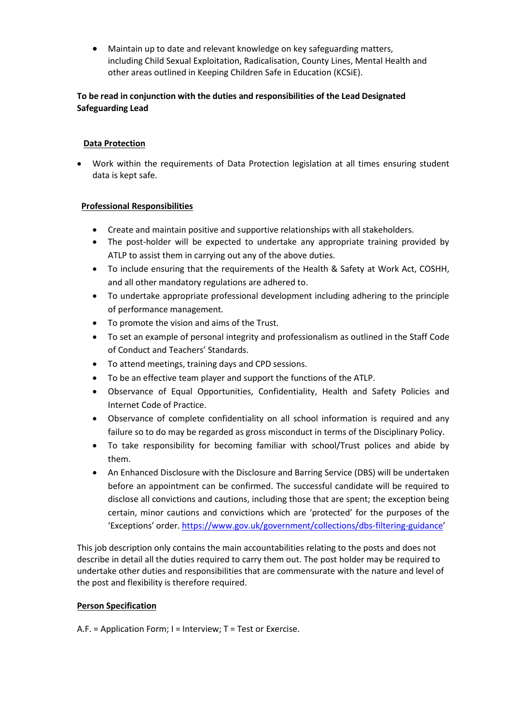Maintain up to date and relevant knowledge on key safeguarding matters, including Child Sexual Exploitation, Radicalisation, County Lines, Mental Health and other areas outlined in Keeping Children Safe in Education (KCSiE).

# **To be read in conjunction with the duties and responsibilities of the Lead Designated Safeguarding Lead**

## **Data Protection**

 Work within the requirements of Data Protection legislation at all times ensuring student data is kept safe.

## **Professional Responsibilities**

- Create and maintain positive and supportive relationships with all stakeholders.
- The post-holder will be expected to undertake any appropriate training provided by ATLP to assist them in carrying out any of the above duties.
- To include ensuring that the requirements of the Health & Safety at Work Act, COSHH, and all other mandatory regulations are adhered to.
- To undertake appropriate professional development including adhering to the principle of performance management.
- To promote the vision and aims of the Trust.
- To set an example of personal integrity and professionalism as outlined in the Staff Code of Conduct and Teachers' Standards.
- To attend meetings, training days and CPD sessions.
- To be an effective team player and support the functions of the ATLP.
- Observance of Equal Opportunities, Confidentiality, Health and Safety Policies and Internet Code of Practice.
- Observance of complete confidentiality on all school information is required and any failure so to do may be regarded as gross misconduct in terms of the Disciplinary Policy.
- To take responsibility for becoming familiar with school/Trust polices and abide by them.
- An Enhanced Disclosure with the Disclosure and Barring Service (DBS) will be undertaken before an appointment can be confirmed. The successful candidate will be required to disclose all convictions and cautions, including those that are spent; the exception being certain, minor cautions and convictions which are 'protected' for the purposes of the 'Exceptions' order. <https://www.gov.uk/government/collections/dbs-filtering-guidance>'

This job description only contains the main accountabilities relating to the posts and does not describe in detail all the duties required to carry them out. The post holder may be required to undertake other duties and responsibilities that are commensurate with the nature and level of the post and flexibility is therefore required.

### **Person Specification**

A.F. = Application Form; I = Interview; T = Test or Exercise.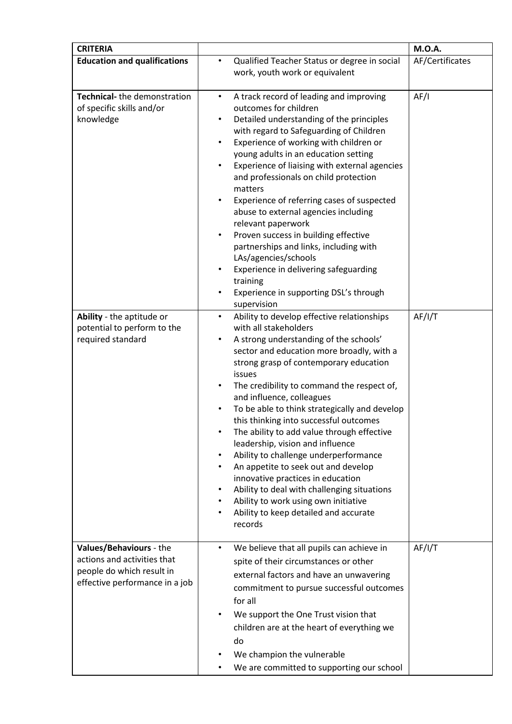| <b>CRITERIA</b>                                                                                                       |                                                                                                                                                                                                                                                                                                                                                                                                                                                                                                                                                                                                                                                                                                                                                                                                                             | <b>M.O.A.</b>   |
|-----------------------------------------------------------------------------------------------------------------------|-----------------------------------------------------------------------------------------------------------------------------------------------------------------------------------------------------------------------------------------------------------------------------------------------------------------------------------------------------------------------------------------------------------------------------------------------------------------------------------------------------------------------------------------------------------------------------------------------------------------------------------------------------------------------------------------------------------------------------------------------------------------------------------------------------------------------------|-----------------|
| <b>Education and qualifications</b>                                                                                   | Qualified Teacher Status or degree in social<br>$\bullet$<br>work, youth work or equivalent                                                                                                                                                                                                                                                                                                                                                                                                                                                                                                                                                                                                                                                                                                                                 | AF/Certificates |
| Technical-the demonstration<br>of specific skills and/or<br>knowledge                                                 | A track record of leading and improving<br>$\bullet$<br>outcomes for children<br>Detailed understanding of the principles<br>$\bullet$<br>with regard to Safeguarding of Children<br>Experience of working with children or<br>٠<br>young adults in an education setting<br>Experience of liaising with external agencies<br>$\bullet$<br>and professionals on child protection<br>matters<br>Experience of referring cases of suspected<br>abuse to external agencies including<br>relevant paperwork<br>Proven success in building effective<br>$\bullet$<br>partnerships and links, including with<br>LAs/agencies/schools<br>Experience in delivering safeguarding<br>$\bullet$<br>training<br>Experience in supporting DSL's through<br>$\bullet$<br>supervision                                                       | AF/I            |
| Ability - the aptitude or<br>potential to perform to the<br>required standard                                         | Ability to develop effective relationships<br>$\bullet$<br>with all stakeholders<br>A strong understanding of the schools'<br>٠<br>sector and education more broadly, with a<br>strong grasp of contemporary education<br>issues<br>The credibility to command the respect of,<br>$\bullet$<br>and influence, colleagues<br>To be able to think strategically and develop<br>$\bullet$<br>this thinking into successful outcomes<br>The ability to add value through effective<br>٠<br>leadership, vision and influence<br>Ability to challenge underperformance<br>٠<br>An appetite to seek out and develop<br>$\bullet$<br>innovative practices in education<br>Ability to deal with challenging situations<br>$\bullet$<br>Ability to work using own initiative<br>٠<br>Ability to keep detailed and accurate<br>records | AF/I/T          |
| Values/Behaviours - the<br>actions and activities that<br>people do which result in<br>effective performance in a job | We believe that all pupils can achieve in<br>$\bullet$<br>spite of their circumstances or other<br>external factors and have an unwavering<br>commitment to pursue successful outcomes<br>for all<br>We support the One Trust vision that<br>$\bullet$<br>children are at the heart of everything we<br>do<br>We champion the vulnerable<br>We are committed to supporting our school<br>$\bullet$                                                                                                                                                                                                                                                                                                                                                                                                                          | AF/I/T          |